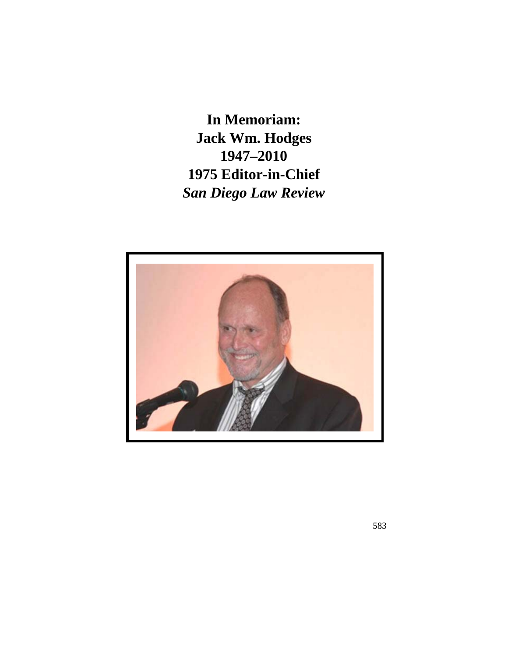**In Memoriam: Jack Wm. Hodges 1947–2010 1975 Editor-in-Chief**  *San Diego Law Review* 

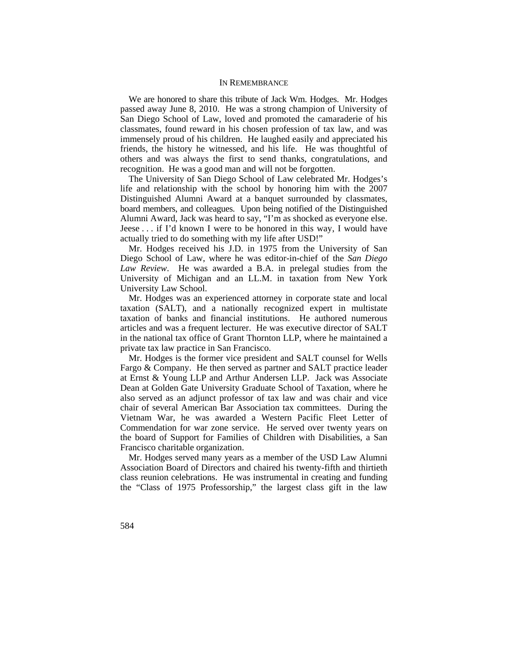### IN REMEMBRANCE

We are honored to share this tribute of Jack Wm. Hodges. Mr. Hodges passed away June 8, 2010. He was a strong champion of University of San Diego School of Law, loved and promoted the camaraderie of his classmates, found reward in his chosen profession of tax law, and was immensely proud of his children. He laughed easily and appreciated his friends, the history he witnessed, and his life. He was thoughtful of others and was always the first to send thanks, congratulations, and recognition. He was a good man and will not be forgotten.

Alumni Award, Jack was heard to say, "I'm as shocked as everyone else. The University of San Diego School of Law celebrated Mr. Hodges's life and relationship with the school by honoring him with the 2007 Distinguished Alumni Award at a banquet surrounded by classmates, board members, and colleagues. Upon being notified of the Distinguished Jeese  $\ldots$  if I'd known I were to be honored in this way, I would have actually tried to do something with my life after USD!"

 Mr. Hodges received his J.D. in 1975 from the University of San Diego School of Law, where he was editor-in-chief of the *San Diego Law Review*. He was awarded a B.A. in prelegal studies from the University of Michigan and an LL.M. in taxation from New York University Law School.

Mr. Hodges was an experienced attorney in corporate state and local taxation (SALT), and a nationally recognized expert in multistate taxation of banks and financial institutions. He authored numerous articles and was a frequent lecturer. He was executive director of SALT in the national tax office of Grant Thornton LLP, where he maintained a private tax law practice in San Francisco.

 Commendation for war zone service. He served over twenty years on Mr. Hodges is the former vice president and SALT counsel for Wells Fargo & Company. He then served as partner and SALT practice leader at Ernst & Young LLP and Arthur Andersen LLP. Jack was Associate Dean at Golden Gate University Graduate School of Taxation, where he also served as an adjunct professor of tax law and was chair and vice chair of several American Bar Association tax committees. During the Vietnam War, he was awarded a Western Pacific Fleet Letter of the board of Support for Families of Children with Disabilities, a San Francisco charitable organization.

Mr. Hodges served many years as a member of the USD Law Alumni Association Board of Directors and chaired his twenty-fifth and thirtieth class reunion celebrations. He was instrumental in creating and funding the "Class of 1975 Professorship," the largest class gift in the law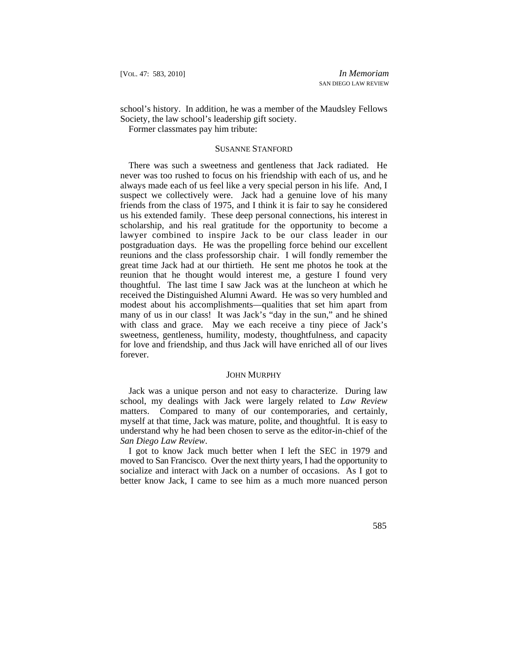school's history. In addition, he was a member of the Maudsley Fellows Society, the law school's leadership gift society.

Former classmates pay him tribute:

### SUSANNE STANFORD

There was such a sweetness and gentleness that Jack radiated. He never was too rushed to focus on his friendship with each of us, and he always made each of us feel like a very special person in his life. And, I suspect we collectively were. Jack had a genuine love of his many friends from the class of 1975, and I think it is fair to say he considered us his extended family. These deep personal connections, his interest in scholarship, and his real gratitude for the opportunity to become a lawyer combined to inspire Jack to be our class leader in our postgraduation days. He was the propelling force behind our excellent reunions and the class professorship chair. I will fondly remember the great time Jack had at our thirtieth. He sent me photos he took at the reunion that he thought would interest me, a gesture I found very thoughtful. The last time I saw Jack was at the luncheon at which he received the Distinguished Alumni Award. He was so very humbled and modest about his accomplishments—qualities that set him apart from many of us in our class! It was Jack's "day in the sun," and he shined with class and grace. May we each receive a tiny piece of Jack's sweetness, gentleness, humility, modesty, thoughtfulness, and capacity for love and friendship, and thus Jack will have enriched all of our lives forever.

### JOHN MURPHY

Jack was a unique person and not easy to characterize. During law school, my dealings with Jack were largely related to *Law Review*  matters. Compared to many of our contemporaries, and certainly, myself at that time, Jack was mature, polite, and thoughtful. It is easy to understand why he had been chosen to serve as the editor-in-chief of the *San Diego Law Review*.

I got to know Jack much better when I left the SEC in 1979 and moved to San Francisco. Over the next thirty years, I had the opportunity to socialize and interact with Jack on a number of occasions. As I got to better know Jack, I came to see him as a much more nuanced person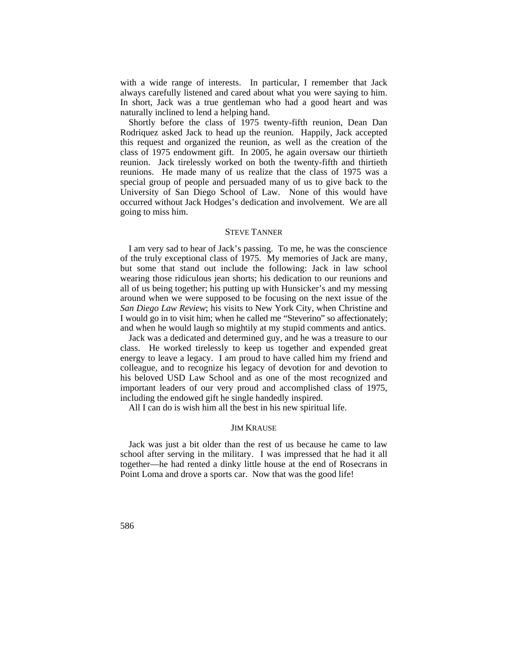always carefully listened and cared about what you were saying to him. with a wide range of interests. In particular, I remember that Jack In short, Jack was a true gentleman who had a good heart and was naturally inclined to lend a helping hand.

Shortly before the class of 1975 twenty-fifth reunion, Dean Dan Rodriquez asked Jack to head up the reunion. Happily, Jack accepted this request and organized the reunion, as well as the creation of the class of 1975 endowment gift. In 2005, he again oversaw our thirtieth reunion. Jack tirelessly worked on both the twenty-fifth and thirtieth reunions. He made many of us realize that the class of 1975 was a special group of people and persuaded many of us to give back to the University of San Diego School of Law. None of this would have occurred without Jack Hodges's dedication and involvement. We are all going to miss him.

## STEVE TANNER

 I would go in to visit him; when he called me "Steverino" so affectionately; I am very sad to hear of Jack's passing. To me, he was the conscience of the truly exceptional class of 1975. My memories of Jack are many, but some that stand out include the following: Jack in law school wearing those ridiculous jean shorts; his dedication to our reunions and all of us being together; his putting up with Hunsicker's and my messing around when we were supposed to be focusing on the next issue of the *San Diego Law Review*; his visits to New York City, when Christine and and when he would laugh so mightily at my stupid comments and antics.

Jack was a dedicated and determined guy, and he was a treasure to our class. He worked tirelessly to keep us together and expended great energy to leave a legacy. I am proud to have called him my friend and colleague, and to recognize his legacy of devotion for and devotion to his beloved USD Law School and as one of the most recognized and important leaders of our very proud and accomplished class of 1975, including the endowed gift he single handedly inspired.

All I can do is wish him all the best in his new spiritual life.

### JIM KRAUSE

Jack was just a bit older than the rest of us because he came to law school after serving in the military. I was impressed that he had it all together—he had rented a dinky little house at the end of Rosecrans in Point Loma and drove a sports car. Now that was the good life!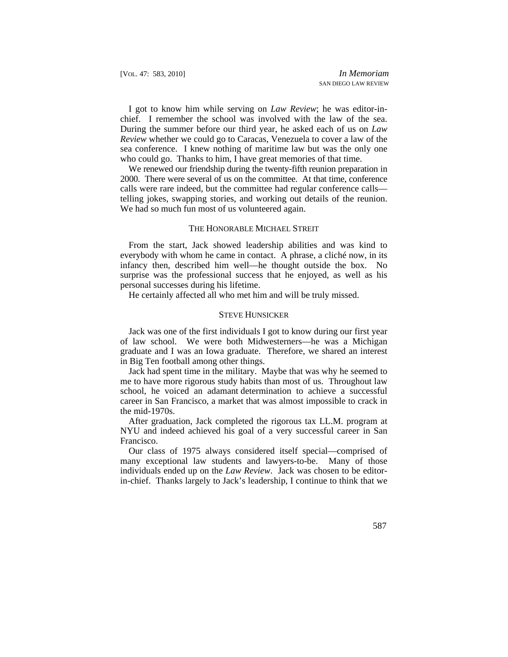chief. I remember the school was involved with the law of the sea. I got to know him while serving on *Law Review*; he was editor-in-During the summer before our third year, he asked each of us on *Law Review* whether we could go to Caracas, Venezuela to cover a law of the sea conference. I knew nothing of maritime law but was the only one who could go. Thanks to him, I have great memories of that time.

 We renewed our friendship during the twenty-fifth reunion preparation in 2000. There were several of us on the committee. At that time, conference calls were rare indeed, but the committee had regular conference calls telling jokes, swapping stories, and working out details of the reunion. We had so much fun most of us volunteered again.

#### THE HONORABLE MICHAEL STREIT

From the start, Jack showed leadership abilities and was kind to everybody with whom he came in contact. A phrase, a cliché now, in its infancy then, described him well—he thought outside the box. No surprise was the professional success that he enjoyed, as well as his personal successes during his lifetime.

He certainly affected all who met him and will be truly missed.

### STEVE HUNSICKER

Jack was one of the first individuals I got to know during our first year of law school. We were both Midwesterners—he was a Michigan graduate and I was an Iowa graduate. Therefore, we shared an interest in Big Ten football among other things.

Jack had spent time in the military. Maybe that was why he seemed to me to have more rigorous study habits than most of us. Throughout law school, he voiced an adamant determination to achieve a successful career in San Francisco, a market that was almost impossible to crack in the mid-1970s.

 After graduation, Jack completed the rigorous tax LL.M. program at NYU and indeed achieved his goal of a very successful career in San Francisco.

Our class of 1975 always considered itself special—comprised of many exceptional law students and lawyers-to-be. Many of those individuals ended up on the *Law Review*. Jack was chosen to be editorin-chief. Thanks largely to Jack's leadership, I continue to think that we